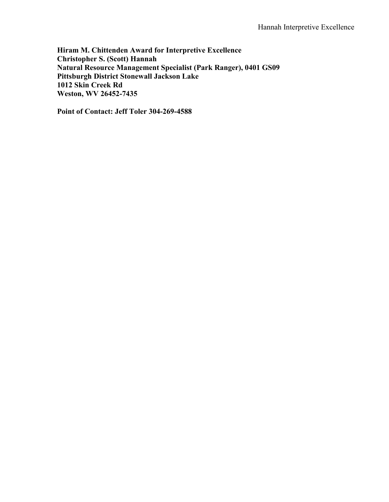**Hiram M. Chittenden Award for Interpretive Excellence Christopher S. (Scott) Hannah Natural Resource Management Specialist (Park Ranger), 0401 GS09 Pittsburgh District Stonewall Jackson Lake 1012 Skin Creek Rd Weston, WV 26452-7435**

**Point of Contact: Jeff Toler 304-269-4588**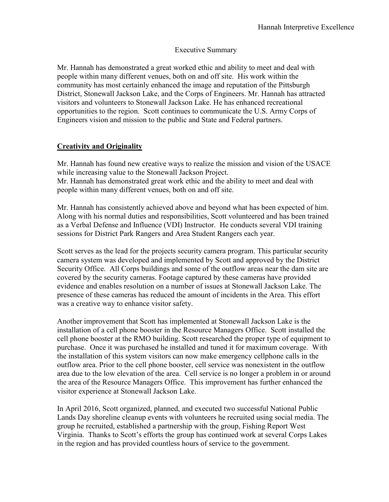### Executive Summary

Mr. Hannah has demonstrated a great worked ethic and ability to meet and deal with people within many different venues, both on and off site. His work within the community has most certainly enhanced the image and reputation of the Pittsburgh District, Stonewall Jackson Lake, and the Corps of Engineers. Mr. Hannah has attracted visitors and volunteers to Stonewall Jackson Lake. He has enhanced recreational opportunities to the region. Scott continues to communicate the U.S. Army Corps of Engineers vision and mission to the public and State and Federal partners.

# **Creativity and Originality**

Mr. Hannah has found new creative ways to realize the mission and vision of the USACE while increasing value to the Stonewall Jackson Project. Mr. Hannah has demonstrated great work ethic and the ability to meet and deal with people within many different venues, both on and off site.

Mr. Hannah has consistently achieved above and beyond what has been expected of him. Along with his normal duties and responsibilities, Scott volunteered and has been trained as a Verbal Defense and Influence (VDI) Instructor. He conducts several VDI training sessions for District Park Rangers and Area Student Rangers each year.

Scott serves as the lead for the projects security camera program. This particular security camera system was developed and implemented by Scott and approved by the District Security Office. All Corps buildings and some of the outflow areas near the dam site are covered by the security cameras. Footage captured by these cameras have provided evidence and enables resolution on a number of issues at Stonewall Jackson Lake. The presence of these cameras has reduced the amount of incidents in the Area. This effort was a creative way to enhance visitor safety.

Another improvement that Scott has implemented at Stonewall Jackson Lake is the installation of a cell phone booster in the Resource Managers Office. Scott installed the cell phone booster at the RMO building. Scott researched the proper type of equipment to purchase. Once it was purchased he installed and tuned it for maximum coverage. With the installation of this system visitors can now make emergency cellphone calls in the outflow area. Prior to the cell phone booster, cell service was nonexistent in the outflow area due to the low elevation of the area. Cell service is no longer a problem in or around the area of the Resource Managers Office. This improvement has further enhanced the visitor experience at Stonewall Jackson Lake.

In April 2016, Scott organized, planned, and executed two successful National Public Lands Day shoreline cleanup events with volunteers he recruited using social media. The group he recruited, established a partnership with the group, Fishing Report West Virginia. Thanks to Scott's efforts the group has continued work at several Corps Lakes in the region and has provided countless hours of service to the government.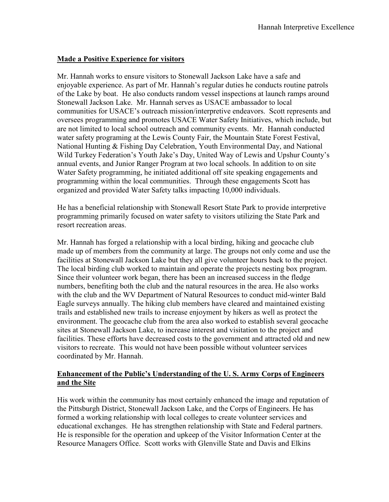## **Made a Positive Experience for visitors**

Mr. Hannah works to ensure visitors to Stonewall Jackson Lake have a safe and enjoyable experience. As part of Mr. Hannah's regular duties he conducts routine patrols of the Lake by boat. He also conducts random vessel inspections at launch ramps around Stonewall Jackson Lake. Mr. Hannah serves as USACE ambassador to local communities for USACE's outreach mission/interpretive endeavors. Scott represents and oversees programming and promotes USACE Water Safety Initiatives, which include, but are not limited to local school outreach and community events. Mr. Hannah conducted water safety programing at the Lewis County Fair, the Mountain State Forest Festival, National Hunting & Fishing Day Celebration, Youth Environmental Day, and National Wild Turkey Federation's Youth Jake's Day, United Way of Lewis and Upshur County's annual events, and Junior Ranger Program at two local schools. In addition to on site Water Safety programming, he initiated additional off site speaking engagements and programming within the local communities. Through these engagements Scott has organized and provided Water Safety talks impacting 10,000 individuals.

He has a beneficial relationship with Stonewall Resort State Park to provide interpretive programming primarily focused on water safety to visitors utilizing the State Park and resort recreation areas.

Mr. Hannah has forged a relationship with a local birding, hiking and geocache club made up of members from the community at large. The groups not only come and use the facilities at Stonewall Jackson Lake but they all give volunteer hours back to the project. The local birding club worked to maintain and operate the projects nesting box program. Since their volunteer work began, there has been an increased success in the fledge numbers, benefiting both the club and the natural resources in the area. He also works with the club and the WV Department of Natural Resources to conduct mid-winter Bald Eagle surveys annually. The hiking club members have cleared and maintained existing trails and established new trails to increase enjoyment by hikers as well as protect the environment. The geocache club from the area also worked to establish several geocache sites at Stonewall Jackson Lake, to increase interest and visitation to the project and facilities. These efforts have decreased costs to the government and attracted old and new visitors to recreate. This would not have been possible without volunteer services coordinated by Mr. Hannah.

## **Enhancement of the Public's Understanding of the U. S. Army Corps of Engineers and the Site**

His work within the community has most certainly enhanced the image and reputation of the Pittsburgh District, Stonewall Jackson Lake, and the Corps of Engineers. He has formed a working relationship with local colleges to create volunteer services and educational exchanges. He has strengthen relationship with State and Federal partners. He is responsible for the operation and upkeep of the Visitor Information Center at the Resource Managers Office. Scott works with Glenville State and Davis and Elkins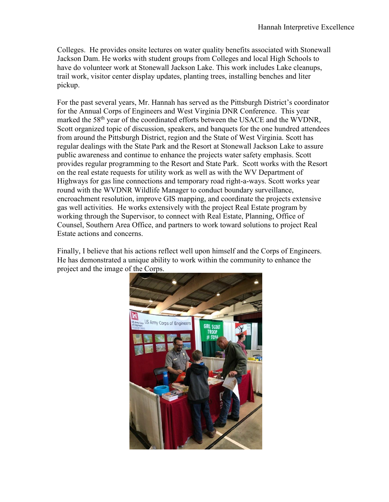Colleges. He provides onsite lectures on water quality benefits associated with Stonewall Jackson Dam. He works with student groups from Colleges and local High Schools to have do volunteer work at Stonewall Jackson Lake. This work includes Lake cleanups, trail work, visitor center display updates, planting trees, installing benches and liter pickup.

For the past several years, Mr. Hannah has served as the Pittsburgh District's coordinator for the Annual Corps of Engineers and West Virginia DNR Conference. This year marked the 58<sup>th</sup> year of the coordinated efforts between the USACE and the WVDNR, Scott organized topic of discussion, speakers, and banquets for the one hundred attendees from around the Pittsburgh District, region and the State of West Virginia. Scott has regular dealings with the State Park and the Resort at Stonewall Jackson Lake to assure public awareness and continue to enhance the projects water safety emphasis. Scott provides regular programming to the Resort and State Park. Scott works with the Resort on the real estate requests for utility work as well as with the WV Department of Highways for gas line connections and temporary road right-a-ways. Scott works year round with the WVDNR Wildlife Manager to conduct boundary surveillance, encroachment resolution, improve GIS mapping, and coordinate the projects extensive gas well activities. He works extensively with the project Real Estate program by working through the Supervisor, to connect with Real Estate, Planning, Office of Counsel, Southern Area Office, and partners to work toward solutions to project Real Estate actions and concerns.

Finally, I believe that his actions reflect well upon himself and the Corps of Engineers. He has demonstrated a unique ability to work within the community to enhance the project and the image of the Corps.